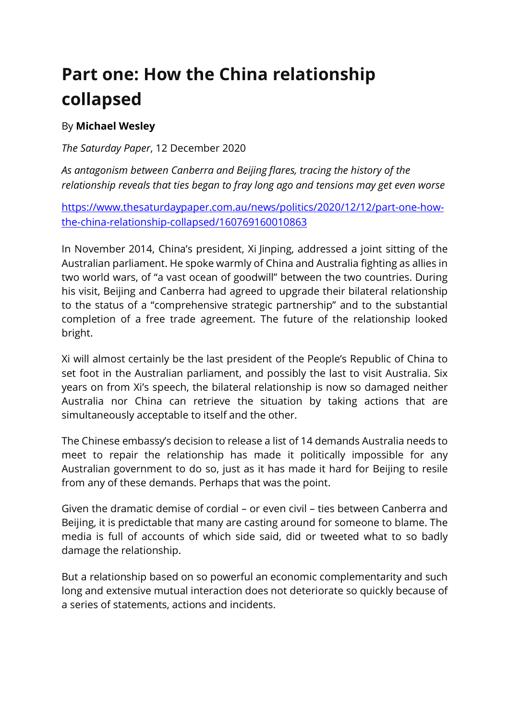## **Part one: How the China relationship collapsed**

## By **Michael Wesley**

*The Saturday Paper*, 12 December 2020

*As antagonism between Canberra and Beijing flares, tracing the history of the relationship reveals that ties began to fray long ago and tensions may get even worse*

https://www.thesaturdaypaper.com.au/news/politics/2020/12/12/part-one-howthe-china-relationship-collapsed/160769160010863

In November 2014, China's president, Xi Jinping, addressed a joint sitting of the Australian parliament. He spoke warmly of China and Australia fighting as allies in two world wars, of "a vast ocean of goodwill" between the two countries. During his visit, Beijing and Canberra had agreed to upgrade their bilateral relationship to the status of a "comprehensive strategic partnership" and to the substantial completion of a free trade agreement. The future of the relationship looked bright.

Xi will almost certainly be the last president of the People's Republic of China to set foot in the Australian parliament, and possibly the last to visit Australia. Six years on from Xi's speech, the bilateral relationship is now so damaged neither Australia nor China can retrieve the situation by taking actions that are simultaneously acceptable to itself and the other.

The Chinese embassy's decision to release a list of 14 demands Australia needs to meet to repair the relationship has made it politically impossible for any Australian government to do so, just as it has made it hard for Beijing to resile from any of these demands. Perhaps that was the point.

Given the dramatic demise of cordial – or even civil – ties between Canberra and Beijing, it is predictable that many are casting around for someone to blame. The media is full of accounts of which side said, did or tweeted what to so badly damage the relationship.

But a relationship based on so powerful an economic complementarity and such long and extensive mutual interaction does not deteriorate so quickly because of a series of statements, actions and incidents.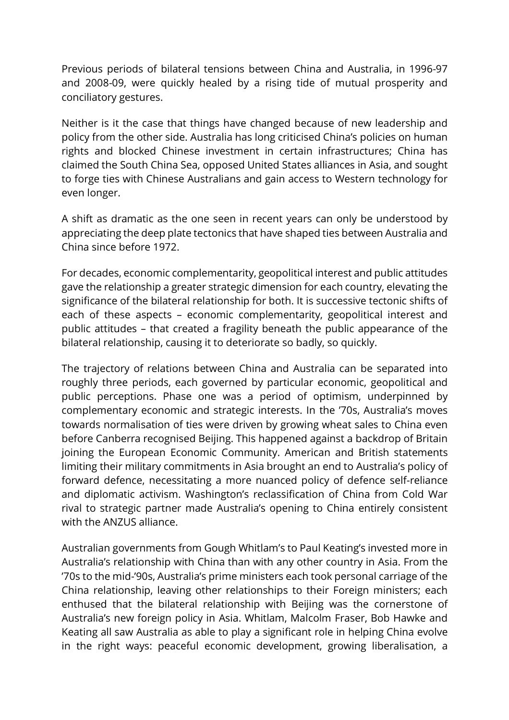Previous periods of bilateral tensions between China and Australia, in 1996-97 and 2008-09, were quickly healed by a rising tide of mutual prosperity and conciliatory gestures.

Neither is it the case that things have changed because of new leadership and policy from the other side. Australia has long criticised China's policies on human rights and blocked Chinese investment in certain infrastructures; China has claimed the South China Sea, opposed United States alliances in Asia, and sought to forge ties with Chinese Australians and gain access to Western technology for even longer.

A shift as dramatic as the one seen in recent years can only be understood by appreciating the deep plate tectonics that have shaped ties between Australia and China since before 1972.

For decades, economic complementarity, geopolitical interest and public attitudes gave the relationship a greater strategic dimension for each country, elevating the significance of the bilateral relationship for both. It is successive tectonic shifts of each of these aspects – economic complementarity, geopolitical interest and public attitudes – that created a fragility beneath the public appearance of the bilateral relationship, causing it to deteriorate so badly, so quickly.

The trajectory of relations between China and Australia can be separated into roughly three periods, each governed by particular economic, geopolitical and public perceptions. Phase one was a period of optimism, underpinned by complementary economic and strategic interests. In the '70s, Australia's moves towards normalisation of ties were driven by growing wheat sales to China even before Canberra recognised Beijing. This happened against a backdrop of Britain joining the European Economic Community. American and British statements limiting their military commitments in Asia brought an end to Australia's policy of forward defence, necessitating a more nuanced policy of defence self-reliance and diplomatic activism. Washington's reclassification of China from Cold War rival to strategic partner made Australia's opening to China entirely consistent with the ANZUS alliance.

Australian governments from Gough Whitlam's to Paul Keating's invested more in Australia's relationship with China than with any other country in Asia. From the '70s to the mid-'90s, Australia's prime ministers each took personal carriage of the China relationship, leaving other relationships to their Foreign ministers; each enthused that the bilateral relationship with Beijing was the cornerstone of Australia's new foreign policy in Asia. Whitlam, Malcolm Fraser, Bob Hawke and Keating all saw Australia as able to play a significant role in helping China evolve in the right ways: peaceful economic development, growing liberalisation, a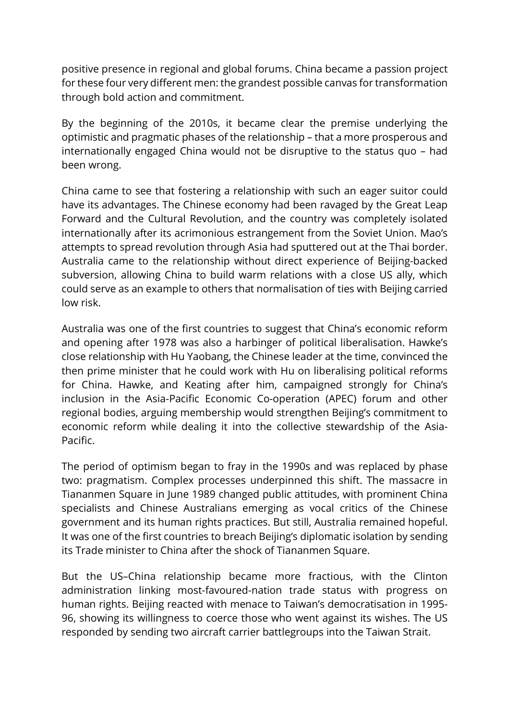positive presence in regional and global forums. China became a passion project for these four very different men: the grandest possible canvas for transformation through bold action and commitment.

By the beginning of the 2010s, it became clear the premise underlying the optimistic and pragmatic phases of the relationship – that a more prosperous and internationally engaged China would not be disruptive to the status quo – had been wrong.

China came to see that fostering a relationship with such an eager suitor could have its advantages. The Chinese economy had been ravaged by the Great Leap Forward and the Cultural Revolution, and the country was completely isolated internationally after its acrimonious estrangement from the Soviet Union. Mao's attempts to spread revolution through Asia had sputtered out at the Thai border. Australia came to the relationship without direct experience of Beijing-backed subversion, allowing China to build warm relations with a close US ally, which could serve as an example to others that normalisation of ties with Beijing carried low risk.

Australia was one of the first countries to suggest that China's economic reform and opening after 1978 was also a harbinger of political liberalisation. Hawke's close relationship with Hu Yaobang, the Chinese leader at the time, convinced the then prime minister that he could work with Hu on liberalising political reforms for China. Hawke, and Keating after him, campaigned strongly for China's inclusion in the Asia-Pacific Economic Co-operation (APEC) forum and other regional bodies, arguing membership would strengthen Beijing's commitment to economic reform while dealing it into the collective stewardship of the Asia-Pacific.

The period of optimism began to fray in the 1990s and was replaced by phase two: pragmatism. Complex processes underpinned this shift. The massacre in Tiananmen Square in June 1989 changed public attitudes, with prominent China specialists and Chinese Australians emerging as vocal critics of the Chinese government and its human rights practices. But still, Australia remained hopeful. It was one of the first countries to breach Beijing's diplomatic isolation by sending its Trade minister to China after the shock of Tiananmen Square.

But the US–China relationship became more fractious, with the Clinton administration linking most-favoured-nation trade status with progress on human rights. Beijing reacted with menace to Taiwan's democratisation in 1995- 96, showing its willingness to coerce those who went against its wishes. The US responded by sending two aircraft carrier battlegroups into the Taiwan Strait.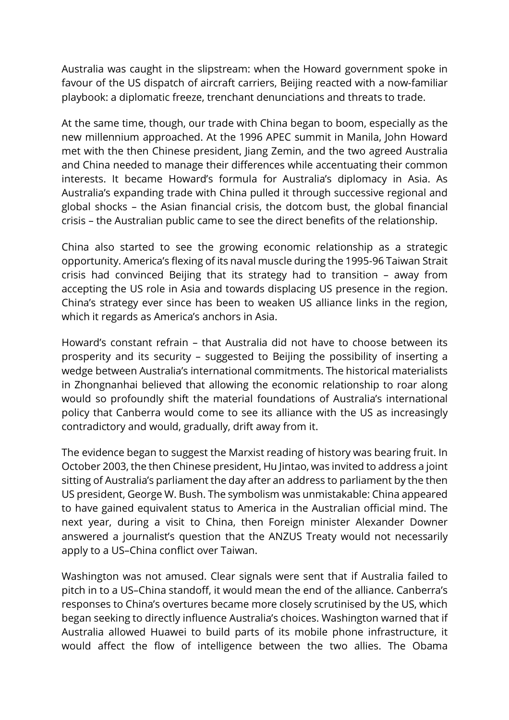Australia was caught in the slipstream: when the Howard government spoke in favour of the US dispatch of aircraft carriers, Beijing reacted with a now-familiar playbook: a diplomatic freeze, trenchant denunciations and threats to trade.

At the same time, though, our trade with China began to boom, especially as the new millennium approached. At the 1996 APEC summit in Manila, John Howard met with the then Chinese president, Jiang Zemin, and the two agreed Australia and China needed to manage their differences while accentuating their common interests. It became Howard's formula for Australia's diplomacy in Asia. As Australia's expanding trade with China pulled it through successive regional and global shocks – the Asian financial crisis, the dotcom bust, the global financial crisis – the Australian public came to see the direct benefits of the relationship.

China also started to see the growing economic relationship as a strategic opportunity. America's flexing of its naval muscle during the 1995-96 Taiwan Strait crisis had convinced Beijing that its strategy had to transition – away from accepting the US role in Asia and towards displacing US presence in the region. China's strategy ever since has been to weaken US alliance links in the region, which it regards as America's anchors in Asia.

Howard's constant refrain – that Australia did not have to choose between its prosperity and its security – suggested to Beijing the possibility of inserting a wedge between Australia's international commitments. The historical materialists in Zhongnanhai believed that allowing the economic relationship to roar along would so profoundly shift the material foundations of Australia's international policy that Canberra would come to see its alliance with the US as increasingly contradictory and would, gradually, drift away from it.

The evidence began to suggest the Marxist reading of history was bearing fruit. In October 2003, the then Chinese president, Hu Jintao, was invited to address a joint sitting of Australia's parliament the day after an address to parliament by the then US president, George W. Bush. The symbolism was unmistakable: China appeared to have gained equivalent status to America in the Australian official mind. The next year, during a visit to China, then Foreign minister Alexander Downer answered a journalist's question that the ANZUS Treaty would not necessarily apply to a US–China conflict over Taiwan.

Washington was not amused. Clear signals were sent that if Australia failed to pitch in to a US–China standoff, it would mean the end of the alliance. Canberra's responses to China's overtures became more closely scrutinised by the US, which began seeking to directly influence Australia's choices. Washington warned that if Australia allowed Huawei to build parts of its mobile phone infrastructure, it would affect the flow of intelligence between the two allies. The Obama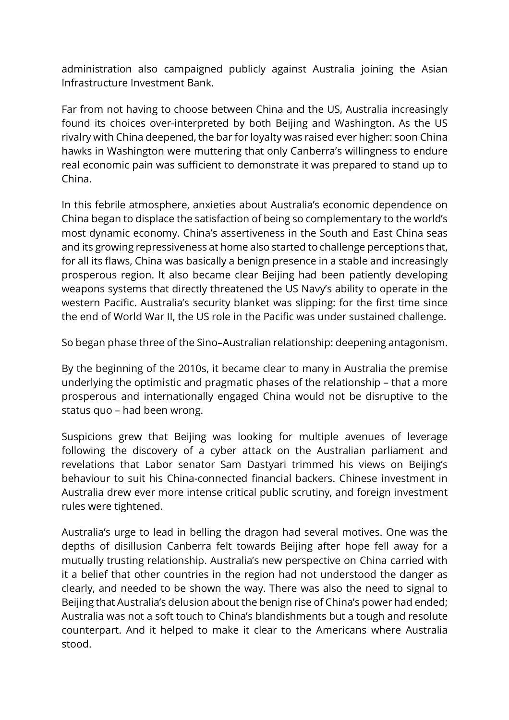administration also campaigned publicly against Australia joining the Asian Infrastructure Investment Bank.

Far from not having to choose between China and the US, Australia increasingly found its choices over-interpreted by both Beijing and Washington. As the US rivalry with China deepened, the bar for loyalty was raised ever higher: soon China hawks in Washington were muttering that only Canberra's willingness to endure real economic pain was sufficient to demonstrate it was prepared to stand up to China.

In this febrile atmosphere, anxieties about Australia's economic dependence on China began to displace the satisfaction of being so complementary to the world's most dynamic economy. China's assertiveness in the South and East China seas and its growing repressiveness at home also started to challenge perceptions that, for all its flaws, China was basically a benign presence in a stable and increasingly prosperous region. It also became clear Beijing had been patiently developing weapons systems that directly threatened the US Navy's ability to operate in the western Pacific. Australia's security blanket was slipping: for the first time since the end of World War II, the US role in the Pacific was under sustained challenge.

So began phase three of the Sino–Australian relationship: deepening antagonism.

By the beginning of the 2010s, it became clear to many in Australia the premise underlying the optimistic and pragmatic phases of the relationship – that a more prosperous and internationally engaged China would not be disruptive to the status quo – had been wrong.

Suspicions grew that Beijing was looking for multiple avenues of leverage following the discovery of a cyber attack on the Australian parliament and revelations that Labor senator Sam Dastyari trimmed his views on Beijing's behaviour to suit his China-connected financial backers. Chinese investment in Australia drew ever more intense critical public scrutiny, and foreign investment rules were tightened.

Australia's urge to lead in belling the dragon had several motives. One was the depths of disillusion Canberra felt towards Beijing after hope fell away for a mutually trusting relationship. Australia's new perspective on China carried with it a belief that other countries in the region had not understood the danger as clearly, and needed to be shown the way. There was also the need to signal to Beijing that Australia's delusion about the benign rise of China's power had ended; Australia was not a soft touch to China's blandishments but a tough and resolute counterpart. And it helped to make it clear to the Americans where Australia stood.